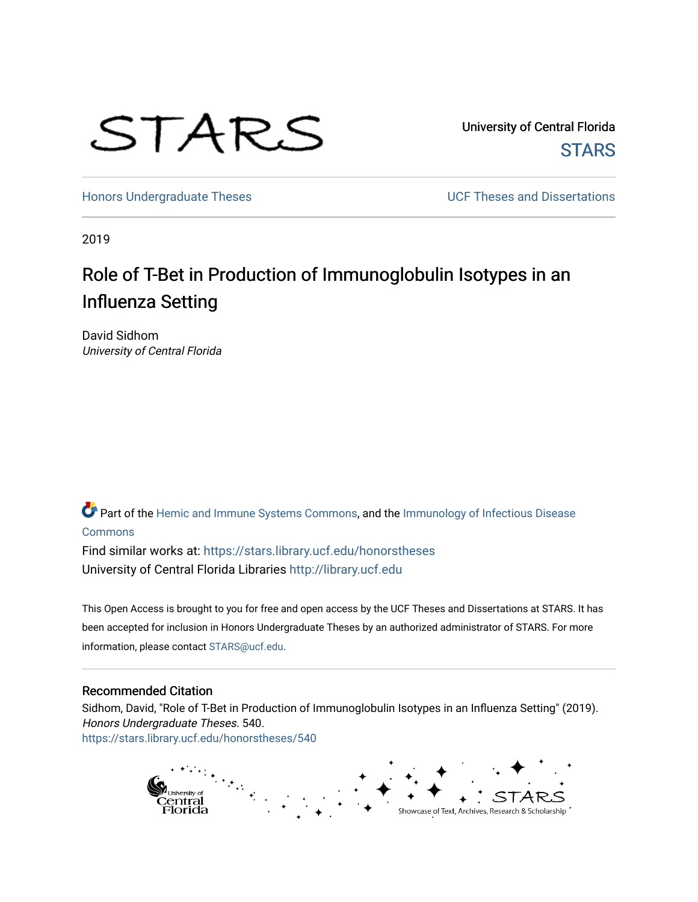

University of Central Florida **STARS** 

[Honors Undergraduate Theses](https://stars.library.ucf.edu/honorstheses) **Exercise 2018** UCF Theses and Dissertations

2019

# Role of T-Bet in Production of Immunoglobulin Isotypes in an Influenza Setting

David Sidhom University of Central Florida

Part of the [Hemic and Immune Systems Commons,](http://network.bepress.com/hgg/discipline/948?utm_source=stars.library.ucf.edu%2Fhonorstheses%2F540&utm_medium=PDF&utm_campaign=PDFCoverPages) and the [Immunology of Infectious Disease](http://network.bepress.com/hgg/discipline/35?utm_source=stars.library.ucf.edu%2Fhonorstheses%2F540&utm_medium=PDF&utm_campaign=PDFCoverPages) [Commons](http://network.bepress.com/hgg/discipline/35?utm_source=stars.library.ucf.edu%2Fhonorstheses%2F540&utm_medium=PDF&utm_campaign=PDFCoverPages)

Find similar works at: <https://stars.library.ucf.edu/honorstheses> University of Central Florida Libraries [http://library.ucf.edu](http://library.ucf.edu/) 

This Open Access is brought to you for free and open access by the UCF Theses and Dissertations at STARS. It has been accepted for inclusion in Honors Undergraduate Theses by an authorized administrator of STARS. For more information, please contact [STARS@ucf.edu.](mailto:STARS@ucf.edu)

#### Recommended Citation

Sidhom, David, "Role of T-Bet in Production of Immunoglobulin Isotypes in an Influenza Setting" (2019). Honors Undergraduate Theses. 540. [https://stars.library.ucf.edu/honorstheses/540](https://stars.library.ucf.edu/honorstheses/540?utm_source=stars.library.ucf.edu%2Fhonorstheses%2F540&utm_medium=PDF&utm_campaign=PDFCoverPages) 

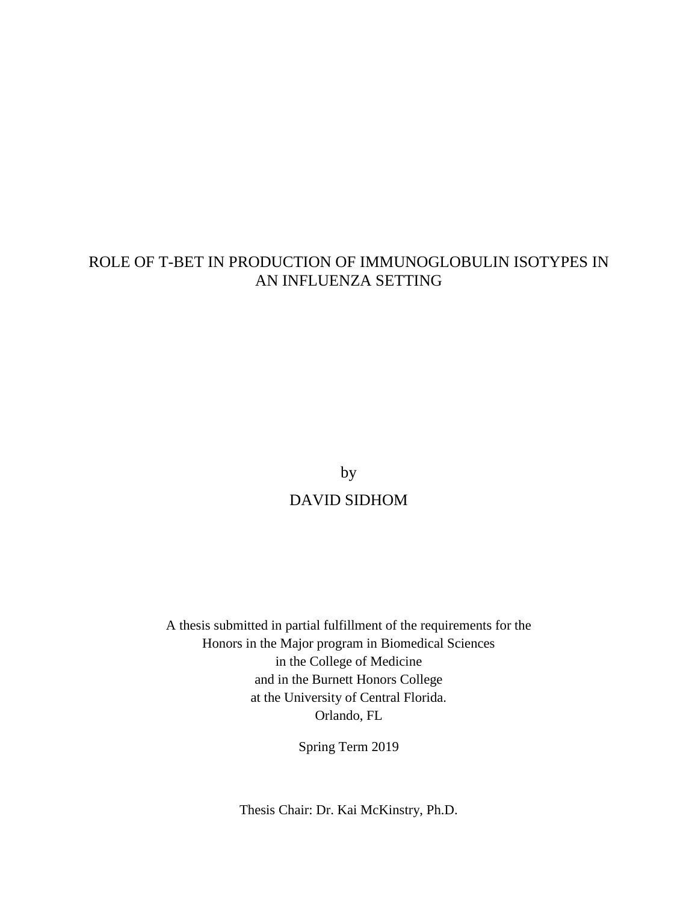# ROLE OF T-BET IN PRODUCTION OF IMMUNOGLOBULIN ISOTYPES IN AN INFLUENZA SETTING

by DAVID SIDHOM

A thesis submitted in partial fulfillment of the requirements for the Honors in the Major program in Biomedical Sciences in the College of Medicine and in the Burnett Honors College at the University of Central Florida. Orlando, FL

Spring Term 2019

Thesis Chair: Dr. Kai McKinstry, Ph.D.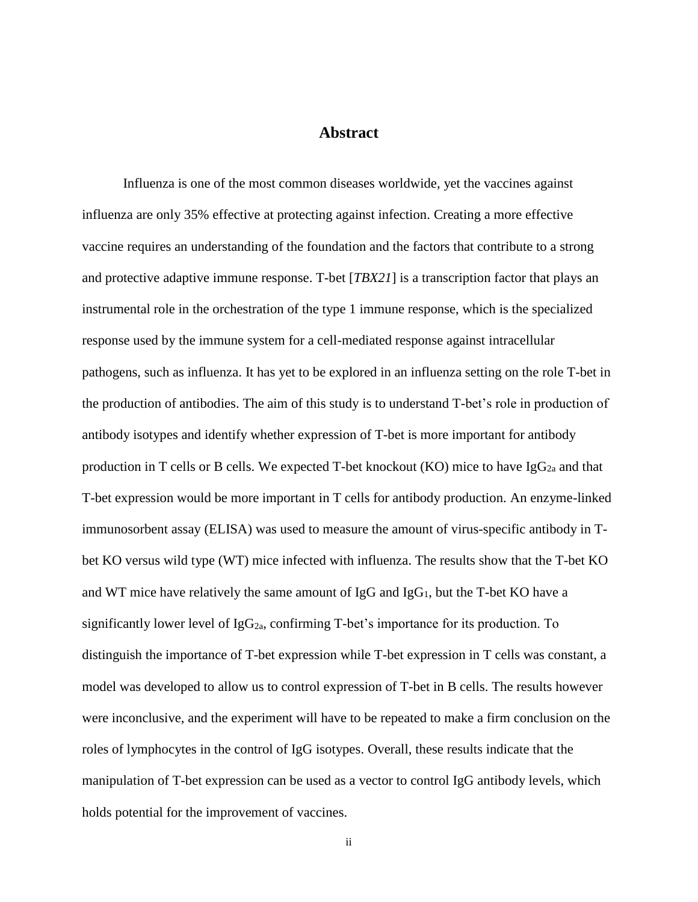# **Abstract**

Influenza is one of the most common diseases worldwide, yet the vaccines against influenza are only 35% effective at protecting against infection. Creating a more effective vaccine requires an understanding of the foundation and the factors that contribute to a strong and protective adaptive immune response. T-bet [*TBX21*] is a transcription factor that plays an instrumental role in the orchestration of the type 1 immune response, which is the specialized response used by the immune system for a cell-mediated response against intracellular pathogens, such as influenza. It has yet to be explored in an influenza setting on the role T-bet in the production of antibodies. The aim of this study is to understand T-bet's role in production of antibody isotypes and identify whether expression of T-bet is more important for antibody production in T cells or B cells. We expected T-bet knockout (KO) mice to have  $\text{IgG}_{2a}$  and that T-bet expression would be more important in T cells for antibody production. An enzyme-linked immunosorbent assay (ELISA) was used to measure the amount of virus-specific antibody in Tbet KO versus wild type (WT) mice infected with influenza. The results show that the T-bet KO and WT mice have relatively the same amount of  $I_gG$  and  $I_gG_1$ , but the T-bet KO have a significantly lower level of  $IgG_{2a}$ , confirming T-bet's importance for its production. To distinguish the importance of T-bet expression while T-bet expression in T cells was constant, a model was developed to allow us to control expression of T-bet in B cells. The results however were inconclusive, and the experiment will have to be repeated to make a firm conclusion on the roles of lymphocytes in the control of IgG isotypes. Overall, these results indicate that the manipulation of T-bet expression can be used as a vector to control IgG antibody levels, which holds potential for the improvement of vaccines.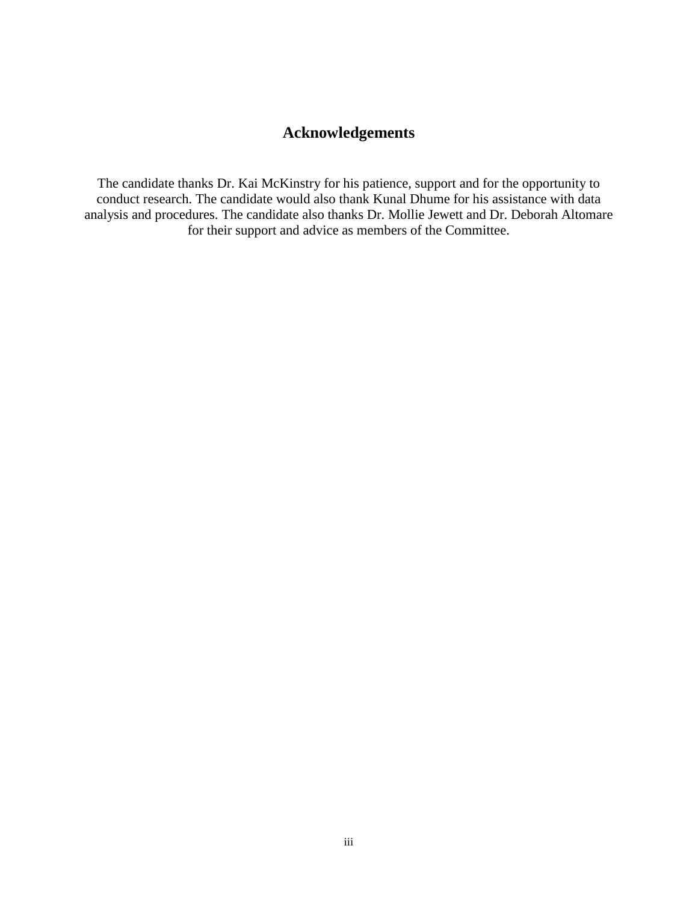# **Acknowledgements**

The candidate thanks Dr. Kai McKinstry for his patience, support and for the opportunity to conduct research. The candidate would also thank Kunal Dhume for his assistance with data analysis and procedures. The candidate also thanks Dr. Mollie Jewett and Dr. Deborah Altomare for their support and advice as members of the Committee.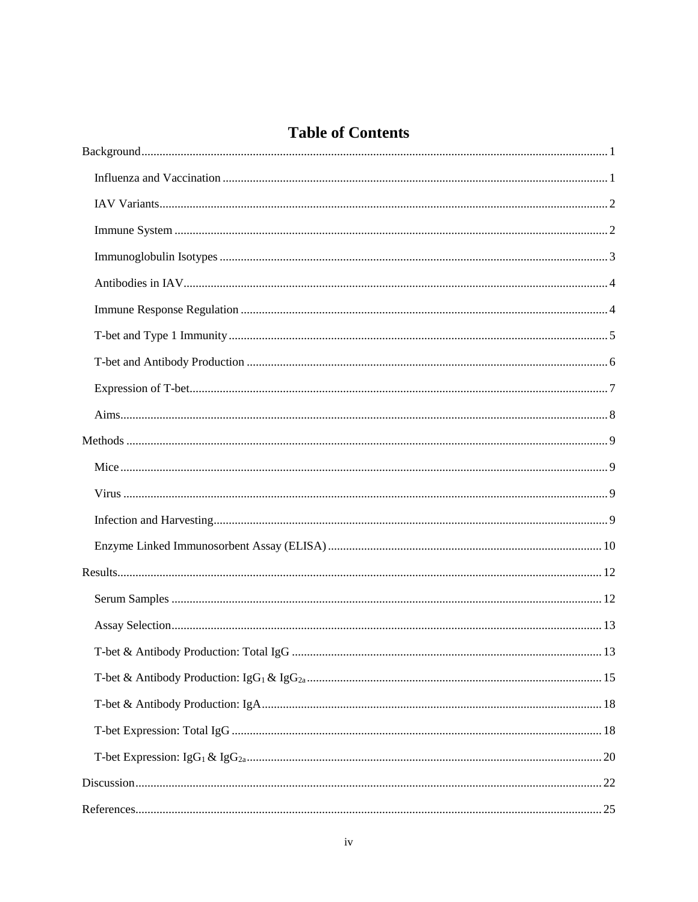# **Table of Contents**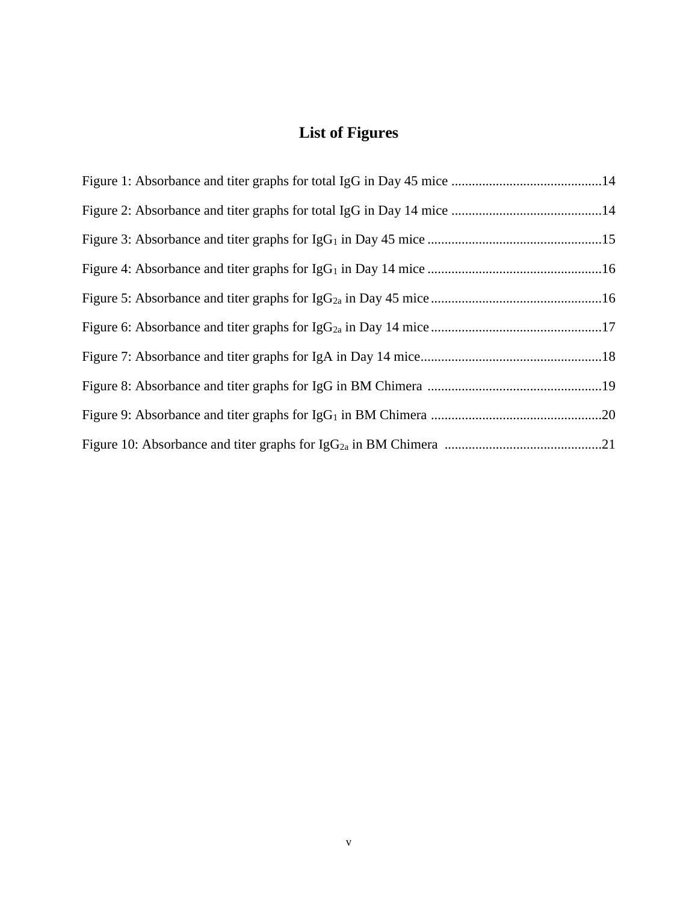# **List of Figures**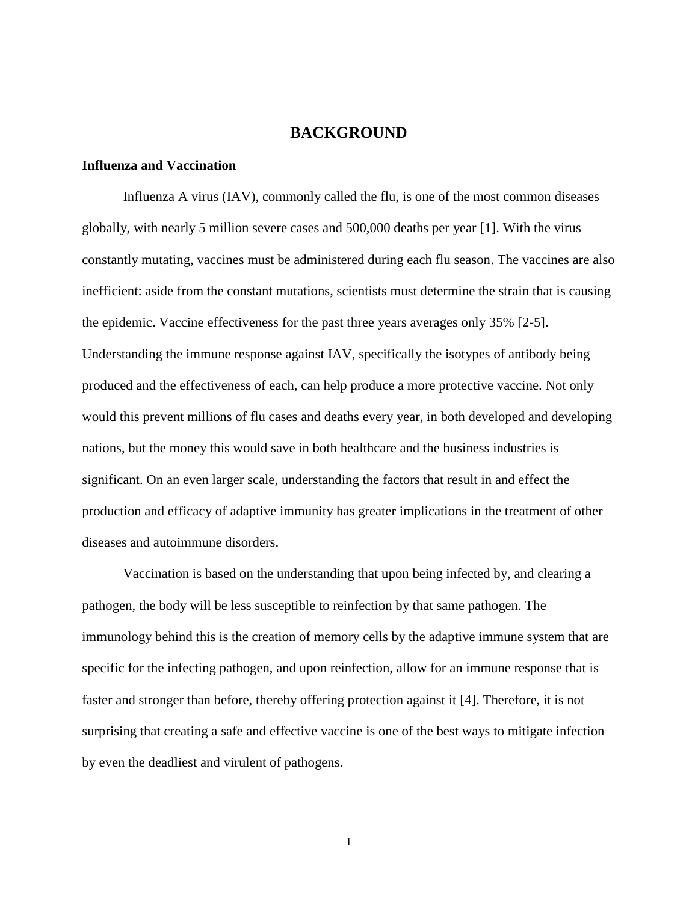# **BACKGROUND**

#### **Influenza and Vaccination**

Influenza A virus (IAV), commonly called the flu, is one of the most common diseases globally, with nearly 5 million severe cases and 500,000 deaths per year [1]. With the virus constantly mutating, vaccines must be administered during each flu season. The vaccines are also inefficient: aside from the constant mutations, scientists must determine the strain that is causing the epidemic. Vaccine effectiveness for the past three years averages only 35% [2-5]. Understanding the immune response against IAV, specifically the isotypes of antibody being produced and the effectiveness of each, can help produce a more protective vaccine. Not only would this prevent millions of flu cases and deaths every year, in both developed and developing nations, but the money this would save in both healthcare and the business industries is significant. On an even larger scale, understanding the factors that result in and effect the production and efficacy of adaptive immunity has greater implications in the treatment of other diseases and autoimmune disorders.

Vaccination is based on the understanding that upon being infected by, and clearing a pathogen, the body will be less susceptible to reinfection by that same pathogen. The immunology behind this is the creation of memory cells by the adaptive immune system that are specific for the infecting pathogen, and upon reinfection, allow for an immune response that is faster and stronger than before, thereby offering protection against it [4]. Therefore, it is not surprising that creating a safe and effective vaccine is one of the best ways to mitigate infection by even the deadliest and virulent of pathogens.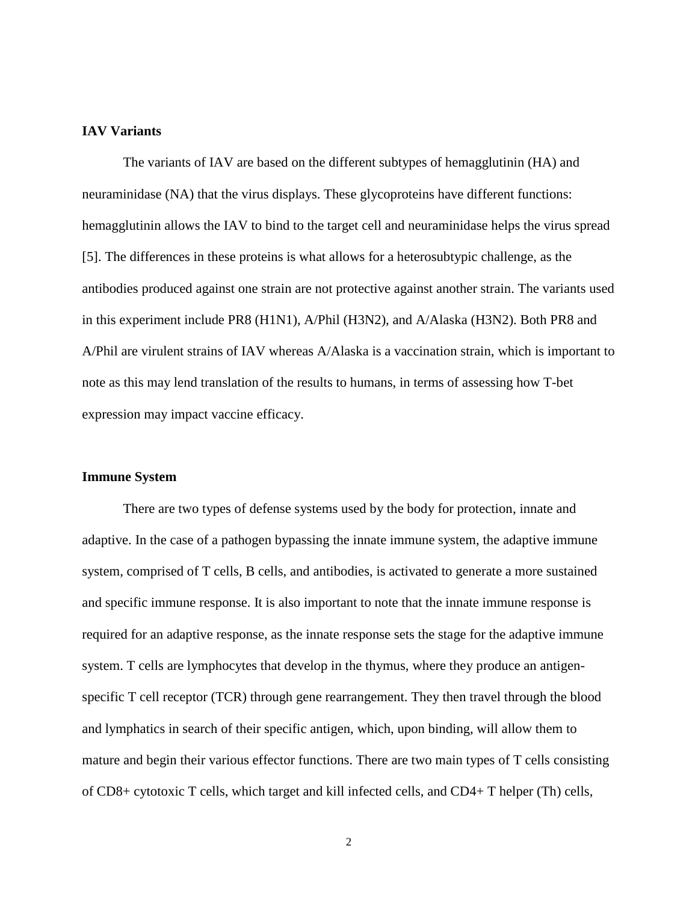# **IAV Variants**

The variants of IAV are based on the different subtypes of hemagglutinin (HA) and neuraminidase (NA) that the virus displays. These glycoproteins have different functions: hemagglutinin allows the IAV to bind to the target cell and neuraminidase helps the virus spread [5]. The differences in these proteins is what allows for a heterosubtypic challenge, as the antibodies produced against one strain are not protective against another strain. The variants used in this experiment include PR8 (H1N1), A/Phil (H3N2), and A/Alaska (H3N2). Both PR8 and A/Phil are virulent strains of IAV whereas A/Alaska is a vaccination strain, which is important to note as this may lend translation of the results to humans, in terms of assessing how T-bet expression may impact vaccine efficacy.

#### **Immune System**

There are two types of defense systems used by the body for protection, innate and adaptive. In the case of a pathogen bypassing the innate immune system, the adaptive immune system, comprised of T cells, B cells, and antibodies, is activated to generate a more sustained and specific immune response. It is also important to note that the innate immune response is required for an adaptive response, as the innate response sets the stage for the adaptive immune system. T cells are lymphocytes that develop in the thymus, where they produce an antigenspecific T cell receptor (TCR) through gene rearrangement. They then travel through the blood and lymphatics in search of their specific antigen, which, upon binding, will allow them to mature and begin their various effector functions. There are two main types of T cells consisting of CD8+ cytotoxic T cells, which target and kill infected cells, and CD4+ T helper (Th) cells,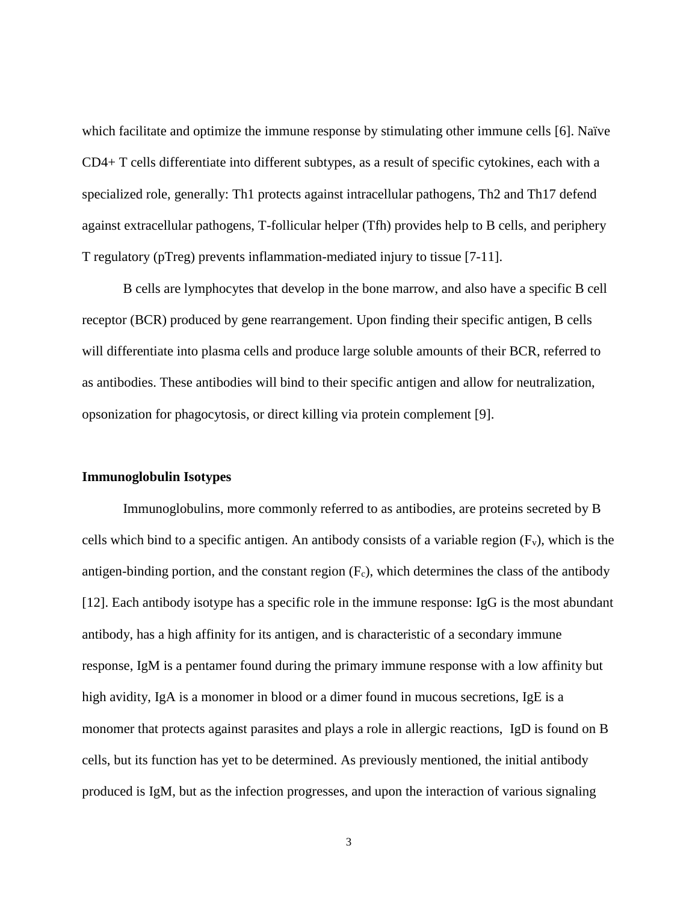which facilitate and optimize the immune response by stimulating other immune cells [6]. Naïve CD4+ T cells differentiate into different subtypes, as a result of specific cytokines, each with a specialized role, generally: Th1 protects against intracellular pathogens, Th2 and Th17 defend against extracellular pathogens, T-follicular helper (Tfh) provides help to B cells, and periphery T regulatory (pTreg) prevents inflammation-mediated injury to tissue [7-11].

B cells are lymphocytes that develop in the bone marrow, and also have a specific B cell receptor (BCR) produced by gene rearrangement. Upon finding their specific antigen, B cells will differentiate into plasma cells and produce large soluble amounts of their BCR, referred to as antibodies. These antibodies will bind to their specific antigen and allow for neutralization, opsonization for phagocytosis, or direct killing via protein complement [9].

#### **Immunoglobulin Isotypes**

Immunoglobulins, more commonly referred to as antibodies, are proteins secreted by B cells which bind to a specific antigen. An antibody consists of a variable region  $(F_v)$ , which is the antigen-binding portion, and the constant region  $(F_c)$ , which determines the class of the antibody [12]. Each antibody isotype has a specific role in the immune response: IgG is the most abundant antibody, has a high affinity for its antigen, and is characteristic of a secondary immune response, IgM is a pentamer found during the primary immune response with a low affinity but high avidity, IgA is a monomer in blood or a dimer found in mucous secretions, IgE is a monomer that protects against parasites and plays a role in allergic reactions, IgD is found on B cells, but its function has yet to be determined. As previously mentioned, the initial antibody produced is IgM, but as the infection progresses, and upon the interaction of various signaling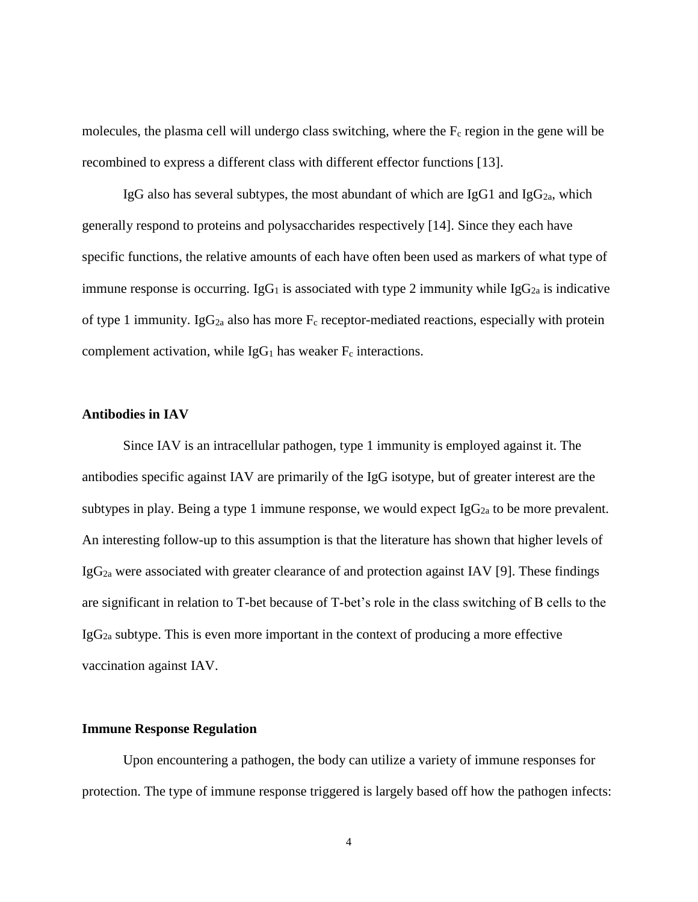molecules, the plasma cell will undergo class switching, where the  $F_c$  region in the gene will be recombined to express a different class with different effector functions [13].

IgG also has several subtypes, the most abundant of which are IgG1 and IgG<sub>2a</sub>, which generally respond to proteins and polysaccharides respectively [14]. Since they each have specific functions, the relative amounts of each have often been used as markers of what type of immune response is occurring. IgG<sub>1</sub> is associated with type 2 immunity while IgG<sub>2a</sub> is indicative of type 1 immunity. Ig $G_{2a}$  also has more  $F_c$  receptor-mediated reactions, especially with protein complement activation, while  $I gG_1$  has weaker  $F_c$  interactions.

# **Antibodies in IAV**

Since IAV is an intracellular pathogen, type 1 immunity is employed against it. The antibodies specific against IAV are primarily of the IgG isotype, but of greater interest are the subtypes in play. Being a type 1 immune response, we would expect  $IgG_{2a}$  to be more prevalent. An interesting follow-up to this assumption is that the literature has shown that higher levels of  $IgG_{2a}$  were associated with greater clearance of and protection against IAV [9]. These findings are significant in relation to T-bet because of T-bet's role in the class switching of B cells to the  $I_{\text{g}}G_{2a}$  subtype. This is even more important in the context of producing a more effective vaccination against IAV.

### **Immune Response Regulation**

Upon encountering a pathogen, the body can utilize a variety of immune responses for protection. The type of immune response triggered is largely based off how the pathogen infects: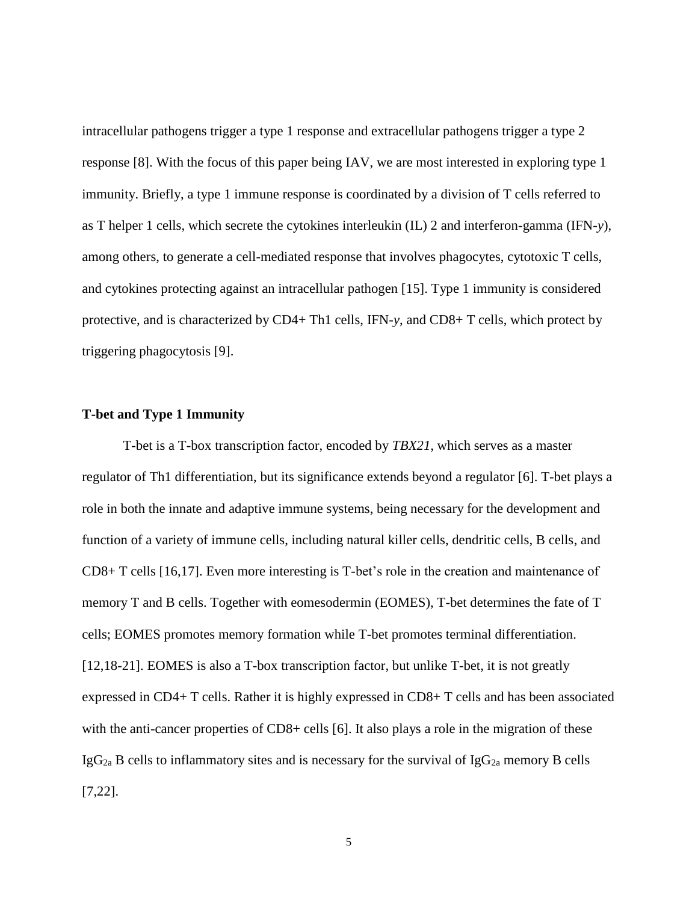intracellular pathogens trigger a type 1 response and extracellular pathogens trigger a type 2 response [8]. With the focus of this paper being IAV, we are most interested in exploring type 1 immunity. Briefly, a type 1 immune response is coordinated by a division of T cells referred to as T helper 1 cells, which secrete the cytokines interleukin (IL) 2 and interferon-gamma (IFN-*y*), among others, to generate a cell-mediated response that involves phagocytes, cytotoxic T cells, and cytokines protecting against an intracellular pathogen [15]. Type 1 immunity is considered protective, and is characterized by CD4+ Th1 cells, IFN-*y*, and CD8+ T cells, which protect by triggering phagocytosis [9].

#### **T-bet and Type 1 Immunity**

T-bet is a T-box transcription factor, encoded by *TBX21,* which serves as a master regulator of Th1 differentiation, but its significance extends beyond a regulator [6]. T-bet plays a role in both the innate and adaptive immune systems, being necessary for the development and function of a variety of immune cells, including natural killer cells, dendritic cells, B cells, and CD8+ T cells [16,17]. Even more interesting is T-bet's role in the creation and maintenance of memory T and B cells. Together with eomesodermin (EOMES), T-bet determines the fate of T cells; EOMES promotes memory formation while T-bet promotes terminal differentiation. [12,18-21]. EOMES is also a T-box transcription factor, but unlike T-bet, it is not greatly expressed in CD4+ T cells. Rather it is highly expressed in CD8+ T cells and has been associated with the anti-cancer properties of CD8+ cells [6]. It also plays a role in the migration of these IgG<sub>2a</sub> B cells to inflammatory sites and is necessary for the survival of IgG<sub>2a</sub> memory B cells [7,22].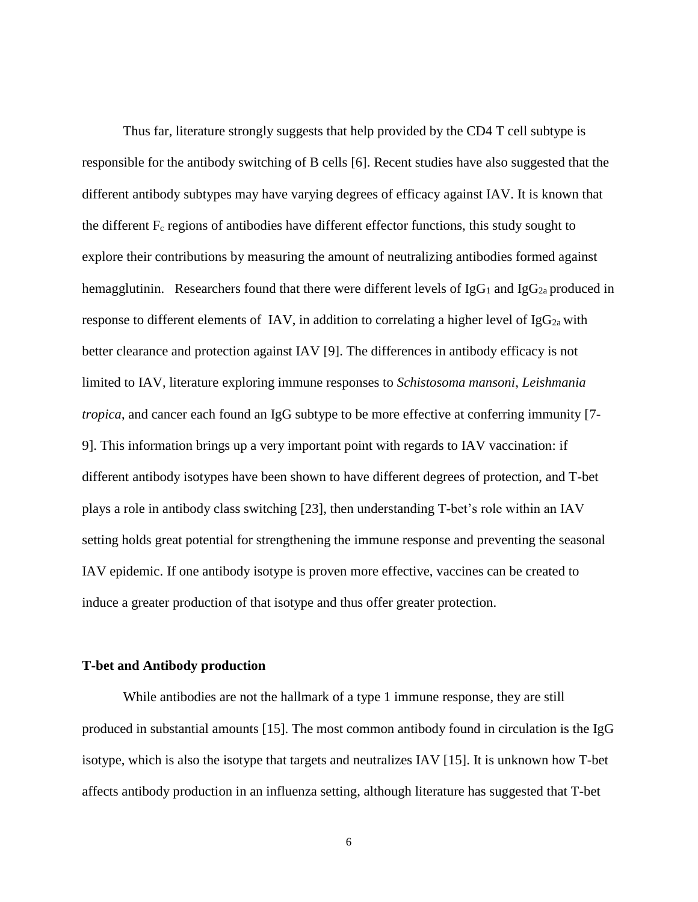Thus far, literature strongly suggests that help provided by the CD4 T cell subtype is responsible for the antibody switching of B cells [6]. Recent studies have also suggested that the different antibody subtypes may have varying degrees of efficacy against IAV. It is known that the different  $F_c$  regions of antibodies have different effector functions, this study sought to explore their contributions by measuring the amount of neutralizing antibodies formed against hemagglutinin. Researchers found that there were different levels of  $I_{\alpha}G_1$  and  $I_{\alpha}G_{2a}$  produced in response to different elements of IAV, in addition to correlating a higher level of IgG<sub>2a</sub> with better clearance and protection against IAV [9]. The differences in antibody efficacy is not limited to IAV, literature exploring immune responses to *Schistosoma mansoni*, *Leishmania tropica*, and cancer each found an IgG subtype to be more effective at conferring immunity [7- 9]. This information brings up a very important point with regards to IAV vaccination: if different antibody isotypes have been shown to have different degrees of protection, and T-bet plays a role in antibody class switching [23], then understanding T-bet's role within an IAV setting holds great potential for strengthening the immune response and preventing the seasonal IAV epidemic. If one antibody isotype is proven more effective, vaccines can be created to induce a greater production of that isotype and thus offer greater protection.

#### **T-bet and Antibody production**

While antibodies are not the hallmark of a type 1 immune response, they are still produced in substantial amounts [15]. The most common antibody found in circulation is the IgG isotype, which is also the isotype that targets and neutralizes IAV [15]. It is unknown how T-bet affects antibody production in an influenza setting, although literature has suggested that T-bet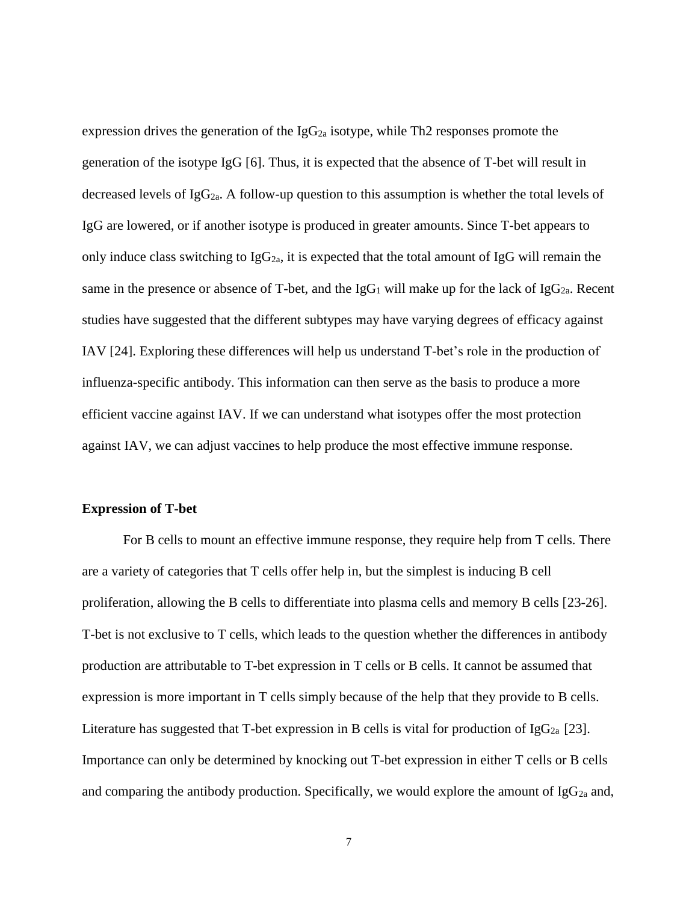expression drives the generation of the  $I_{\text{g}}G_{2a}$  isotype, while Th2 responses promote the generation of the isotype IgG [6]. Thus, it is expected that the absence of T-bet will result in decreased levels of  $IgG_{2a}$ . A follow-up question to this assumption is whether the total levels of IgG are lowered, or if another isotype is produced in greater amounts. Since T-bet appears to only induce class switching to  $IgG_{2a}$ , it is expected that the total amount of IgG will remain the same in the presence or absence of T-bet, and the IgG<sub>1</sub> will make up for the lack of IgG<sub>2a</sub>. Recent studies have suggested that the different subtypes may have varying degrees of efficacy against IAV [24]. Exploring these differences will help us understand T-bet's role in the production of influenza-specific antibody. This information can then serve as the basis to produce a more efficient vaccine against IAV. If we can understand what isotypes offer the most protection against IAV, we can adjust vaccines to help produce the most effective immune response.

#### **Expression of T-bet**

For B cells to mount an effective immune response, they require help from T cells. There are a variety of categories that T cells offer help in, but the simplest is inducing B cell proliferation, allowing the B cells to differentiate into plasma cells and memory B cells [23-26]. T-bet is not exclusive to T cells, which leads to the question whether the differences in antibody production are attributable to T-bet expression in T cells or B cells. It cannot be assumed that expression is more important in T cells simply because of the help that they provide to B cells. Literature has suggested that T-bet expression in B cells is vital for production of IgG<sub>2a</sub> [23]. Importance can only be determined by knocking out T-bet expression in either T cells or B cells and comparing the antibody production. Specifically, we would explore the amount of  $IgG_{2a}$  and,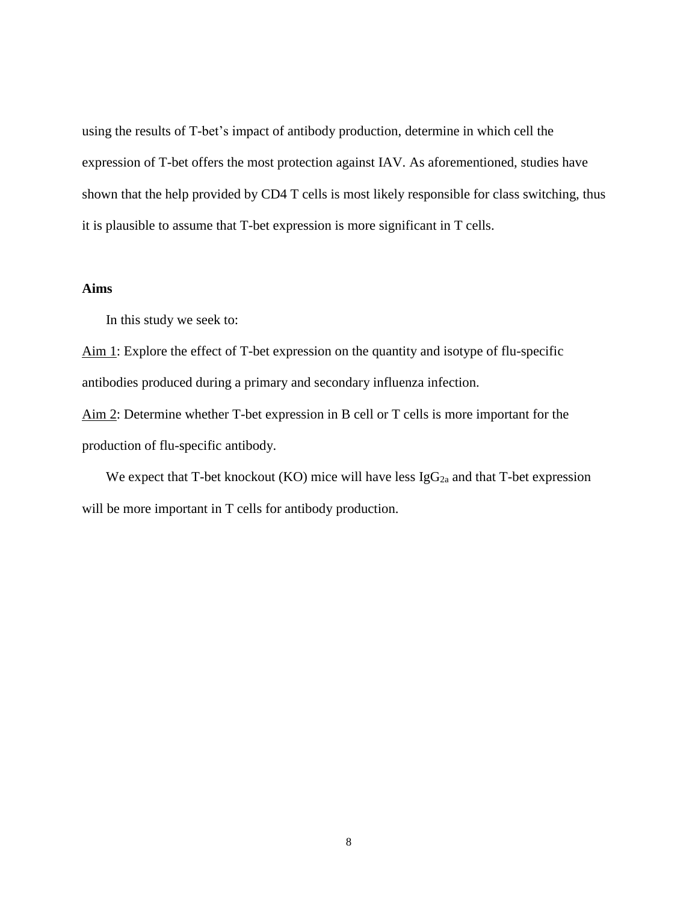using the results of T-bet's impact of antibody production, determine in which cell the expression of T-bet offers the most protection against IAV. As aforementioned, studies have shown that the help provided by CD4 T cells is most likely responsible for class switching, thus it is plausible to assume that T-bet expression is more significant in T cells.

# **Aims**

In this study we seek to:

Aim 1: Explore the effect of T-bet expression on the quantity and isotype of flu-specific antibodies produced during a primary and secondary influenza infection.

Aim 2: Determine whether T-bet expression in B cell or T cells is more important for the production of flu-specific antibody.

We expect that T-bet knockout (KO) mice will have less  $IgG_{2a}$  and that T-bet expression will be more important in T cells for antibody production.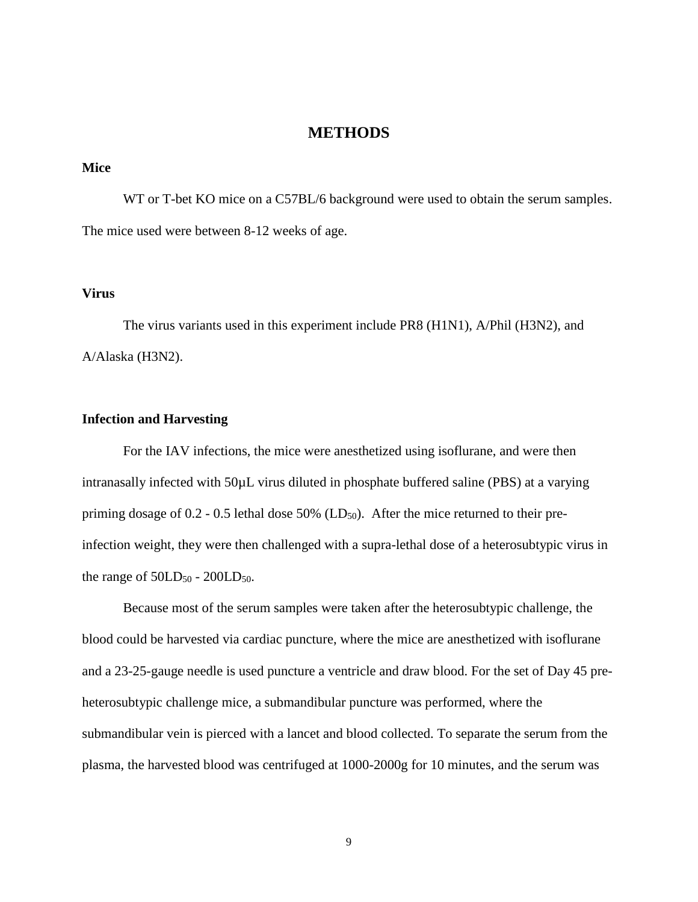# **METHODS**

#### **Mice**

WT or T-bet KO mice on a C57BL/6 background were used to obtain the serum samples. The mice used were between 8-12 weeks of age.

# **Virus**

The virus variants used in this experiment include PR8 (H1N1), A/Phil (H3N2), and A/Alaska (H3N2).

### **Infection and Harvesting**

For the IAV infections, the mice were anesthetized using isoflurane, and were then intranasally infected with 50µL virus diluted in phosphate buffered saline (PBS) at a varying priming dosage of  $0.2$  -  $0.5$  lethal dose 50% (LD<sub>50</sub>). After the mice returned to their preinfection weight, they were then challenged with a supra-lethal dose of a heterosubtypic virus in the range of  $50LD_{50}$  -  $200LD_{50}$ .

Because most of the serum samples were taken after the heterosubtypic challenge, the blood could be harvested via cardiac puncture, where the mice are anesthetized with isoflurane and a 23-25-gauge needle is used puncture a ventricle and draw blood. For the set of Day 45 preheterosubtypic challenge mice, a submandibular puncture was performed, where the submandibular vein is pierced with a lancet and blood collected. To separate the serum from the plasma, the harvested blood was centrifuged at 1000-2000g for 10 minutes, and the serum was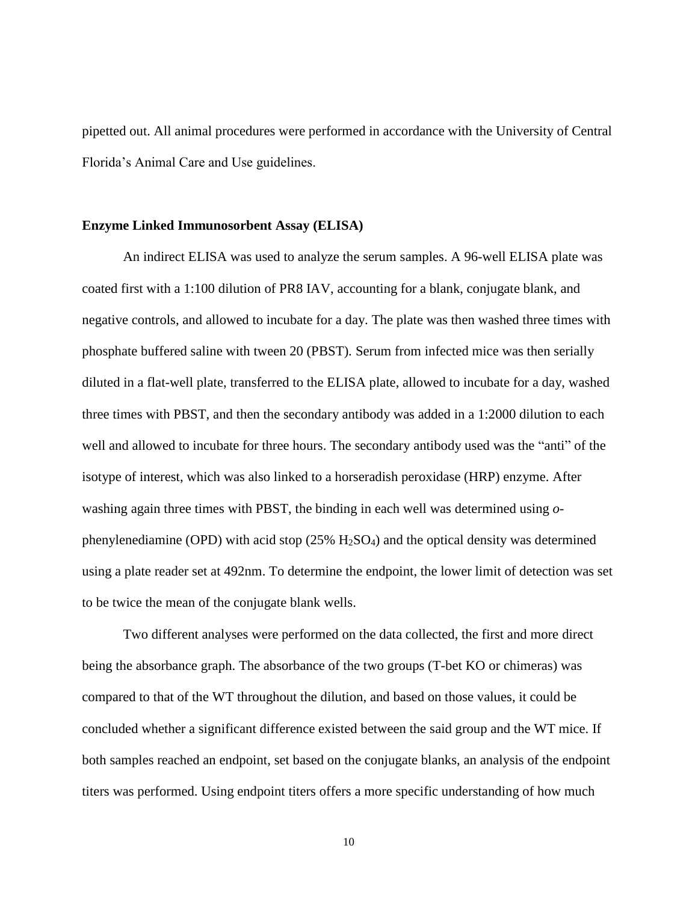pipetted out. All animal procedures were performed in accordance with the University of Central Florida's Animal Care and Use guidelines.

#### **Enzyme Linked Immunosorbent Assay (ELISA)**

An indirect ELISA was used to analyze the serum samples. A 96-well ELISA plate was coated first with a 1:100 dilution of PR8 IAV, accounting for a blank, conjugate blank, and negative controls, and allowed to incubate for a day. The plate was then washed three times with phosphate buffered saline with tween 20 (PBST). Serum from infected mice was then serially diluted in a flat-well plate, transferred to the ELISA plate, allowed to incubate for a day, washed three times with PBST, and then the secondary antibody was added in a 1:2000 dilution to each well and allowed to incubate for three hours. The secondary antibody used was the "anti" of the isotype of interest, which was also linked to a horseradish peroxidase (HRP) enzyme. After washing again three times with PBST, the binding in each well was determined using *o*phenylenediamine (OPD) with acid stop  $(25\% \text{ H}_2\text{SO}_4)$  and the optical density was determined using a plate reader set at 492nm. To determine the endpoint, the lower limit of detection was set to be twice the mean of the conjugate blank wells.

Two different analyses were performed on the data collected, the first and more direct being the absorbance graph. The absorbance of the two groups (T-bet KO or chimeras) was compared to that of the WT throughout the dilution, and based on those values, it could be concluded whether a significant difference existed between the said group and the WT mice. If both samples reached an endpoint, set based on the conjugate blanks, an analysis of the endpoint titers was performed. Using endpoint titers offers a more specific understanding of how much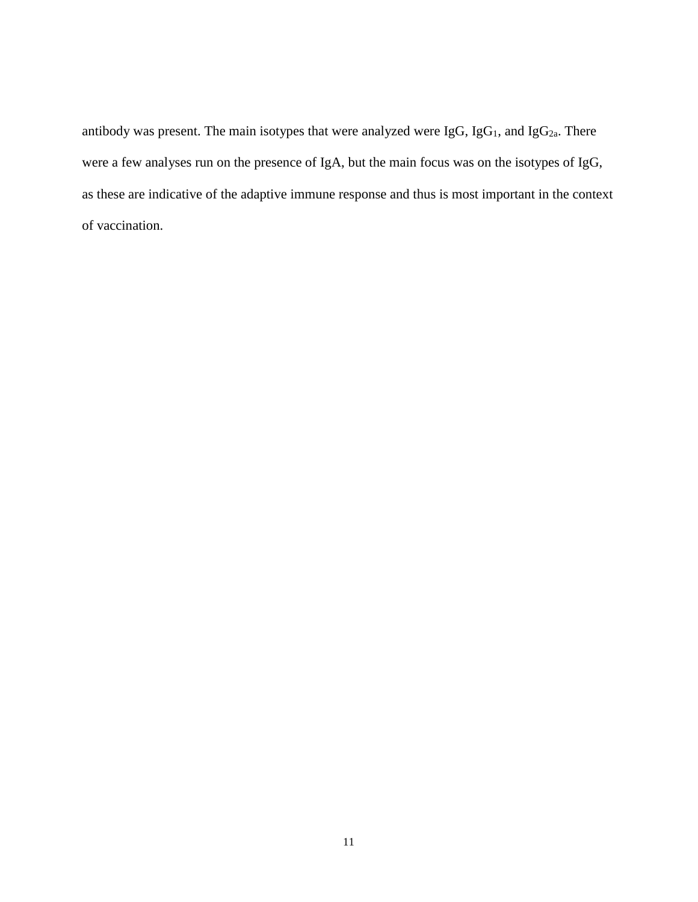antibody was present. The main isotypes that were analyzed were IgG, IgG<sub>1</sub>, and IgG<sub>2a</sub>. There were a few analyses run on the presence of IgA, but the main focus was on the isotypes of IgG, as these are indicative of the adaptive immune response and thus is most important in the context of vaccination.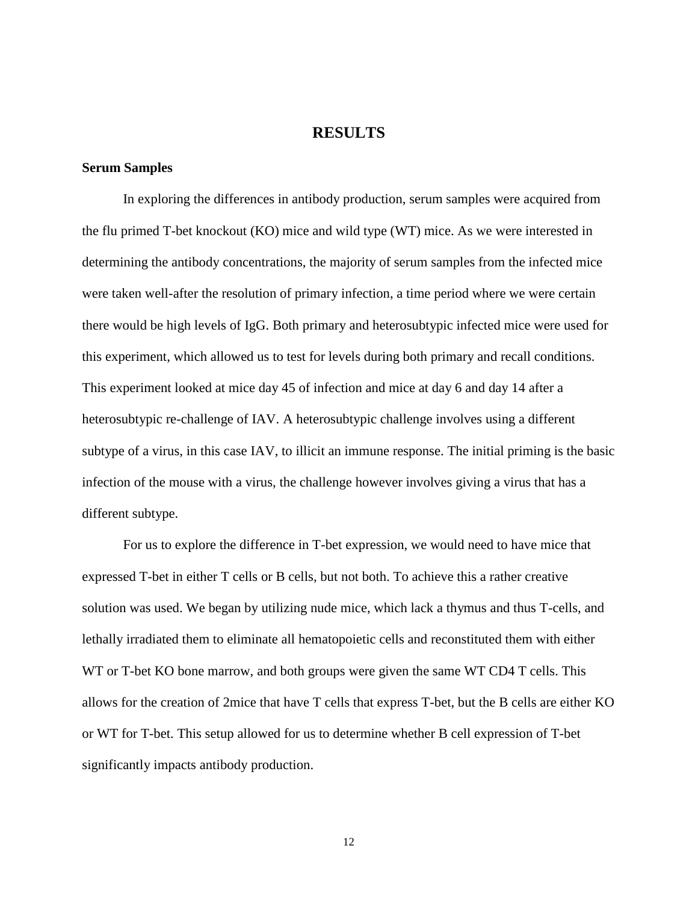# **RESULTS**

#### **Serum Samples**

In exploring the differences in antibody production, serum samples were acquired from the flu primed T-bet knockout (KO) mice and wild type (WT) mice. As we were interested in determining the antibody concentrations, the majority of serum samples from the infected mice were taken well-after the resolution of primary infection, a time period where we were certain there would be high levels of IgG. Both primary and heterosubtypic infected mice were used for this experiment, which allowed us to test for levels during both primary and recall conditions. This experiment looked at mice day 45 of infection and mice at day 6 and day 14 after a heterosubtypic re-challenge of IAV. A heterosubtypic challenge involves using a different subtype of a virus, in this case IAV, to illicit an immune response. The initial priming is the basic infection of the mouse with a virus, the challenge however involves giving a virus that has a different subtype.

For us to explore the difference in T-bet expression, we would need to have mice that expressed T-bet in either T cells or B cells, but not both. To achieve this a rather creative solution was used. We began by utilizing nude mice, which lack a thymus and thus T-cells, and lethally irradiated them to eliminate all hematopoietic cells and reconstituted them with either WT or T-bet KO bone marrow, and both groups were given the same WT CD4 T cells. This allows for the creation of 2mice that have T cells that express T-bet, but the B cells are either KO or WT for T-bet. This setup allowed for us to determine whether B cell expression of T-bet significantly impacts antibody production.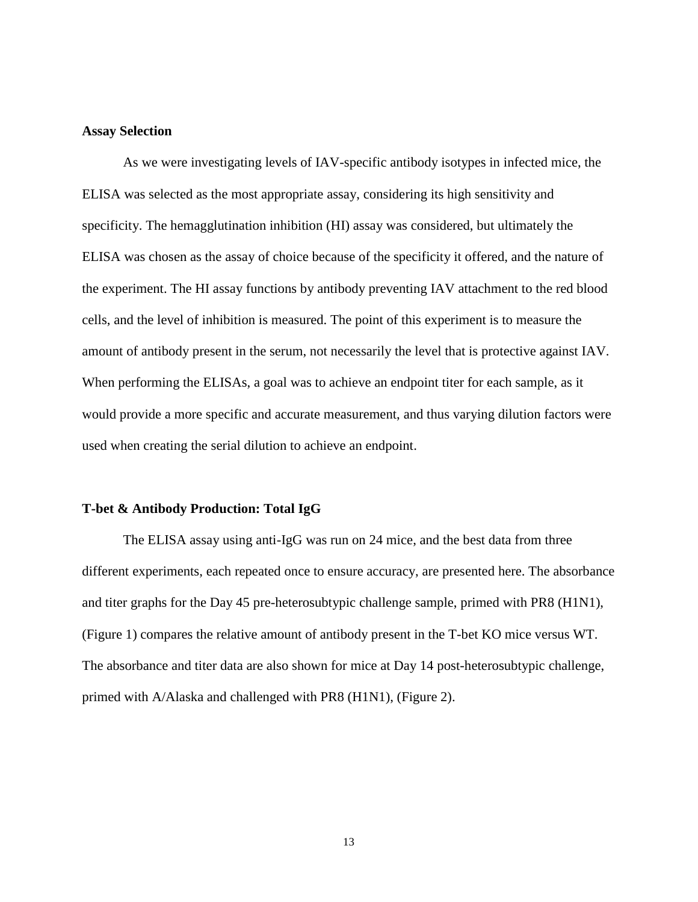#### **Assay Selection**

As we were investigating levels of IAV-specific antibody isotypes in infected mice, the ELISA was selected as the most appropriate assay, considering its high sensitivity and specificity. The hemagglutination inhibition (HI) assay was considered, but ultimately the ELISA was chosen as the assay of choice because of the specificity it offered, and the nature of the experiment. The HI assay functions by antibody preventing IAV attachment to the red blood cells, and the level of inhibition is measured. The point of this experiment is to measure the amount of antibody present in the serum, not necessarily the level that is protective against IAV. When performing the ELISAs, a goal was to achieve an endpoint titer for each sample, as it would provide a more specific and accurate measurement, and thus varying dilution factors were used when creating the serial dilution to achieve an endpoint.

#### **T-bet & Antibody Production: Total IgG**

The ELISA assay using anti-IgG was run on 24 mice, and the best data from three different experiments, each repeated once to ensure accuracy, are presented here. The absorbance and titer graphs for the Day 45 pre-heterosubtypic challenge sample, primed with PR8 (H1N1), (Figure 1) compares the relative amount of antibody present in the T-bet KO mice versus WT. The absorbance and titer data are also shown for mice at Day 14 post-heterosubtypic challenge, primed with A/Alaska and challenged with PR8 (H1N1), (Figure 2).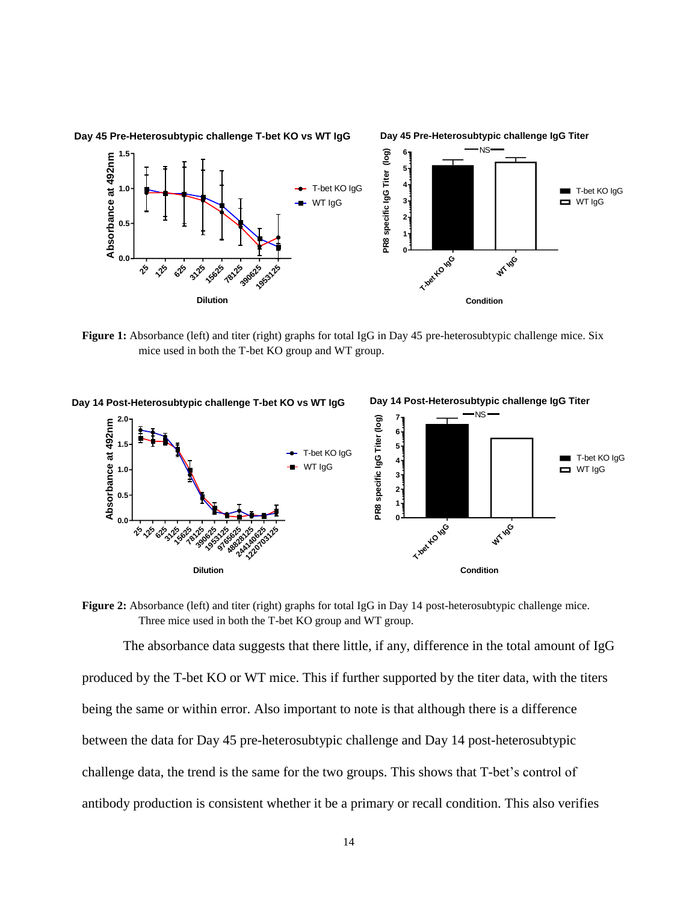

**Figure 1:** Absorbance (left) and titer (right) graphs for total IgG in Day 45 pre-heterosubtypic challenge mice. Six mice used in both the T-bet KO group and WT group.



**Figure 2:** Absorbance (left) and titer (right) graphs for total IgG in Day 14 post-heterosubtypic challenge mice. Three mice used in both the T-bet KO group and WT group.

The absorbance data suggests that there little, if any, difference in the total amount of IgG produced by the T-bet KO or WT mice. This if further supported by the titer data, with the titers being the same or within error. Also important to note is that although there is a difference between the data for Day 45 pre-heterosubtypic challenge and Day 14 post-heterosubtypic challenge data, the trend is the same for the two groups. This shows that T-bet's control of antibody production is consistent whether it be a primary or recall condition. This also verifies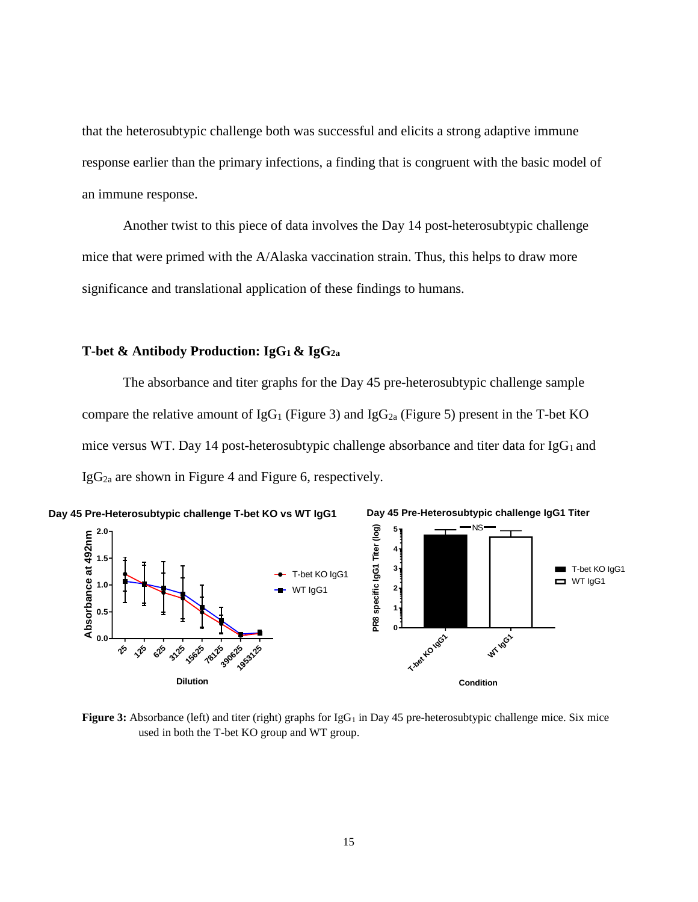that the heterosubtypic challenge both was successful and elicits a strong adaptive immune response earlier than the primary infections, a finding that is congruent with the basic model of an immune response.

Another twist to this piece of data involves the Day 14 post-heterosubtypic challenge mice that were primed with the A/Alaska vaccination strain. Thus, this helps to draw more significance and translational application of these findings to humans.

# **T-bet & Antibody Production: IgG1 & IgG2a**

The absorbance and titer graphs for the Day 45 pre-heterosubtypic challenge sample compare the relative amount of IgG<sub>1</sub> (Figure 3) and IgG<sub>2a</sub> (Figure 5) present in the T-bet KO mice versus WT. Day 14 post-heterosubtypic challenge absorbance and titer data for  $IgG_1$  and IgG2a are shown in Figure 4 and Figure 6, respectively.



**Figure 3:** Absorbance (left) and titer (right) graphs for IgG<sub>1</sub> in Day 45 pre-heterosubtypic challenge mice. Six mice used in both the T-bet KO group and WT group.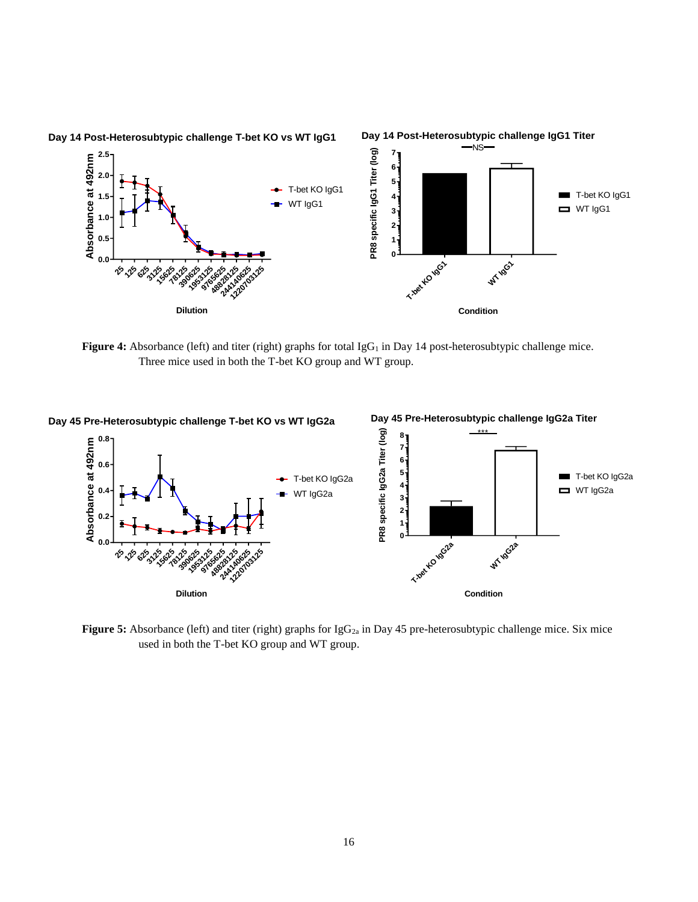

**Figure 4:** Absorbance (left) and titer (right) graphs for total IgG<sub>1</sub> in Day 14 post-heterosubtypic challenge mice. Three mice used in both the T-bet KO group and WT group.



**Figure 5:** Absorbance (left) and titer (right) graphs for IgG<sub>2a</sub> in Day 45 pre-heterosubtypic challenge mice. Six mice used in both the T-bet KO group and WT group.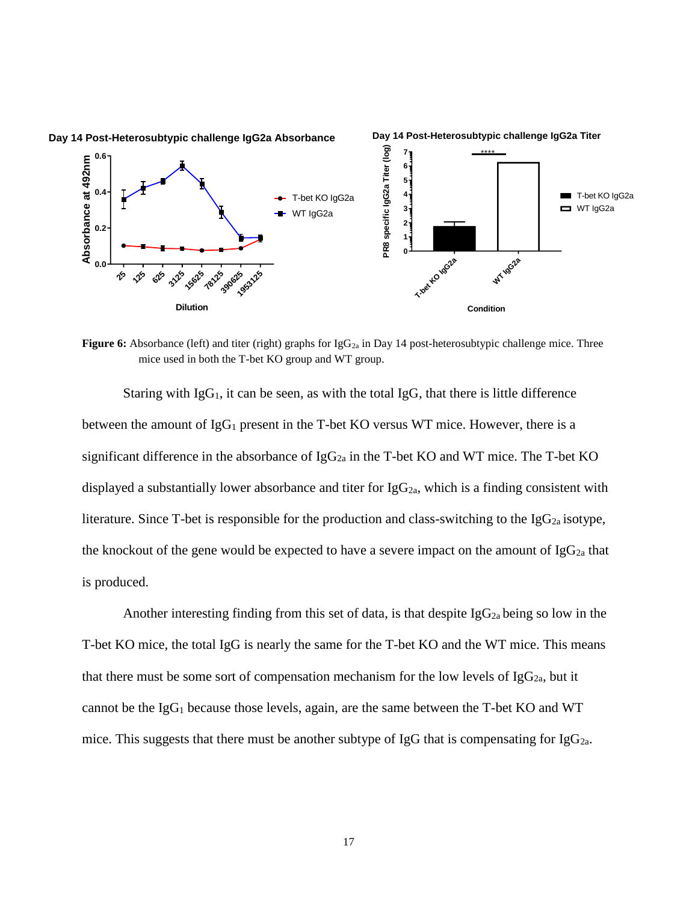

**Figure 6:** Absorbance (left) and titer (right) graphs for IgG<sub>2a</sub> in Day 14 post-heterosubtypic challenge mice. Three mice used in both the T-bet KO group and WT group.

Staring with  $I_gG_1$ , it can be seen, as with the total  $I_gG$ , that there is little difference between the amount of  $IgG_1$  present in the T-bet KO versus WT mice. However, there is a significant difference in the absorbance of  $IgG_{2a}$  in the T-bet KO and WT mice. The T-bet KO displayed a substantially lower absorbance and titer for  $IgG_{2a}$ , which is a finding consistent with literature. Since T-bet is responsible for the production and class-switching to the  $I_{g}G_{2a}$  isotype, the knockout of the gene would be expected to have a severe impact on the amount of  $IgG_{2a}$  that is produced.

Another interesting finding from this set of data, is that despite  $I_{g}G_{2a}$  being so low in the T-bet KO mice, the total IgG is nearly the same for the T-bet KO and the WT mice. This means that there must be some sort of compensation mechanism for the low levels of  $IgG_{2a}$ , but it cannot be the IgG<sup>1</sup> because those levels, again, are the same between the T-bet KO and WT mice. This suggests that there must be another subtype of IgG that is compensating for IgG<sub>2a</sub>.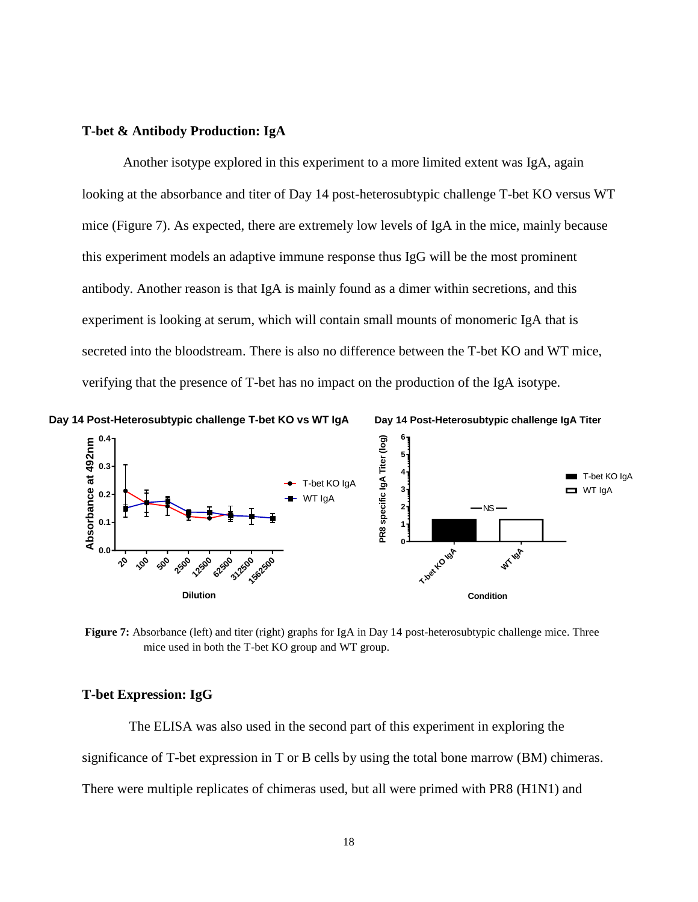# **T-bet & Antibody Production: IgA**

Another isotype explored in this experiment to a more limited extent was IgA, again looking at the absorbance and titer of Day 14 post-heterosubtypic challenge T-bet KO versus WT mice (Figure 7). As expected, there are extremely low levels of IgA in the mice, mainly because this experiment models an adaptive immune response thus IgG will be the most prominent antibody. Another reason is that IgA is mainly found as a dimer within secretions, and this experiment is looking at serum, which will contain small mounts of monomeric IgA that is secreted into the bloodstream. There is also no difference between the T-bet KO and WT mice, verifying that the presence of T-bet has no impact on the production of the IgA isotype.







**Figure 7:** Absorbance (left) and titer (right) graphs for IgA in Day 14 post-heterosubtypic challenge mice. Three mice used in both the T-bet KO group and WT group.

#### **T-bet Expression: IgG**

The ELISA was also used in the second part of this experiment in exploring the significance of T-bet expression in T or B cells by using the total bone marrow (BM) chimeras. There were multiple replicates of chimeras used, but all were primed with PR8 (H1N1) and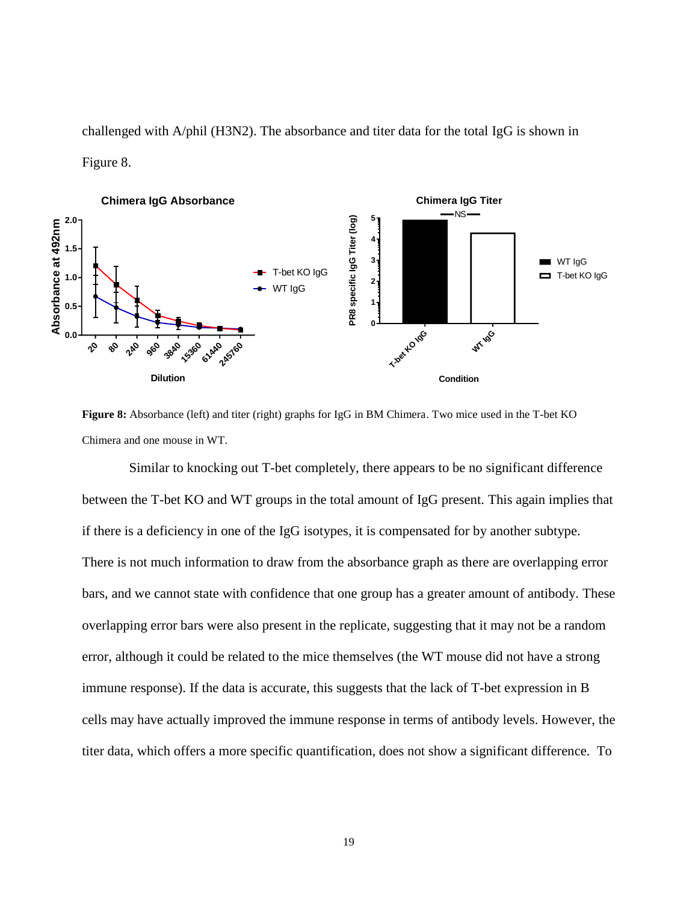challenged with A/phil (H3N2). The absorbance and titer data for the total IgG is shown in Figure 8.



**Figure 8:** Absorbance (left) and titer (right) graphs for IgG in BM Chimera. Two mice used in the T-bet KO Chimera and one mouse in WT.

Similar to knocking out T-bet completely, there appears to be no significant difference between the T-bet KO and WT groups in the total amount of IgG present. This again implies that if there is a deficiency in one of the IgG isotypes, it is compensated for by another subtype. There is not much information to draw from the absorbance graph as there are overlapping error bars, and we cannot state with confidence that one group has a greater amount of antibody. These overlapping error bars were also present in the replicate, suggesting that it may not be a random error, although it could be related to the mice themselves (the WT mouse did not have a strong immune response). If the data is accurate, this suggests that the lack of T-bet expression in B cells may have actually improved the immune response in terms of antibody levels. However, the titer data, which offers a more specific quantification, does not show a significant difference. To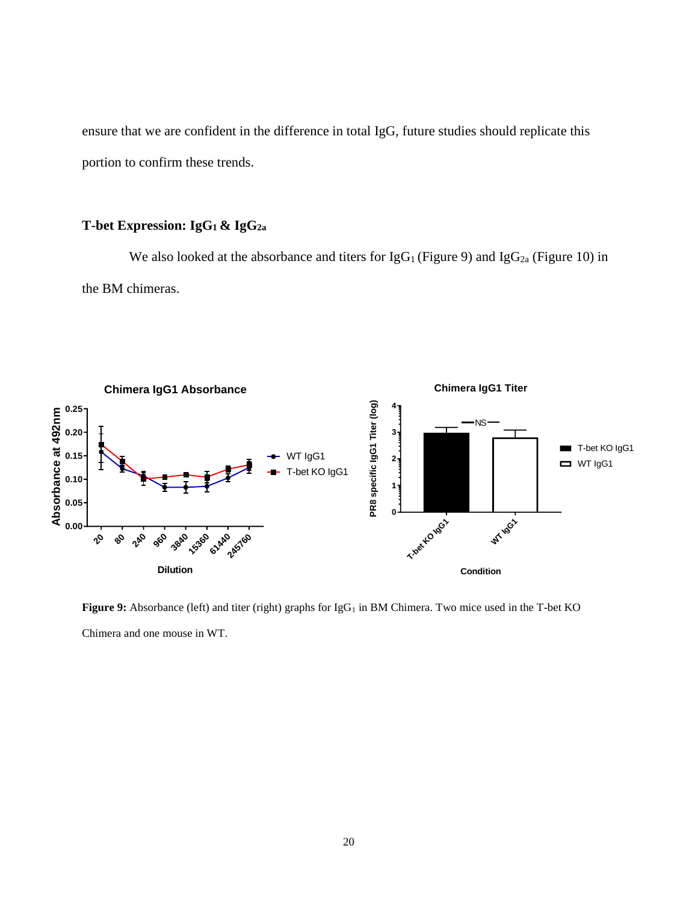ensure that we are confident in the difference in total IgG, future studies should replicate this portion to confirm these trends.

# **T-bet Expression: IgG1 & IgG2a**

We also looked at the absorbance and titers for  $\lg G_1$  (Figure 9) and  $\lg G_{2a}$  (Figure 10) in the BM chimeras.



Figure 9: Absorbance (left) and titer (right) graphs for IgG<sub>1</sub> in BM Chimera. Two mice used in the T-bet KO Chimera and one mouse in WT.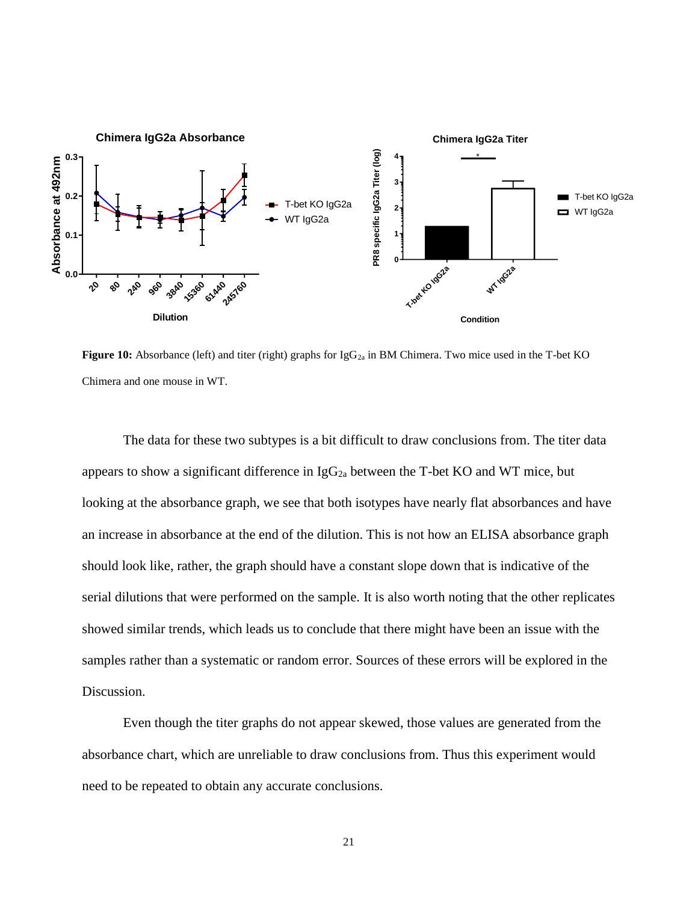

**Figure 10:** Absorbance (left) and titer (right) graphs for IgG<sub>2a</sub> in BM Chimera. Two mice used in the T-bet KO Chimera and one mouse in WT.

The data for these two subtypes is a bit difficult to draw conclusions from. The titer data appears to show a significant difference in  $IgG_{2a}$  between the T-bet KO and WT mice, but looking at the absorbance graph, we see that both isotypes have nearly flat absorbances and have an increase in absorbance at the end of the dilution. This is not how an ELISA absorbance graph should look like, rather, the graph should have a constant slope down that is indicative of the serial dilutions that were performed on the sample. It is also worth noting that the other replicates showed similar trends, which leads us to conclude that there might have been an issue with the samples rather than a systematic or random error. Sources of these errors will be explored in the Discussion.

Even though the titer graphs do not appear skewed, those values are generated from the absorbance chart, which are unreliable to draw conclusions from. Thus this experiment would need to be repeated to obtain any accurate conclusions.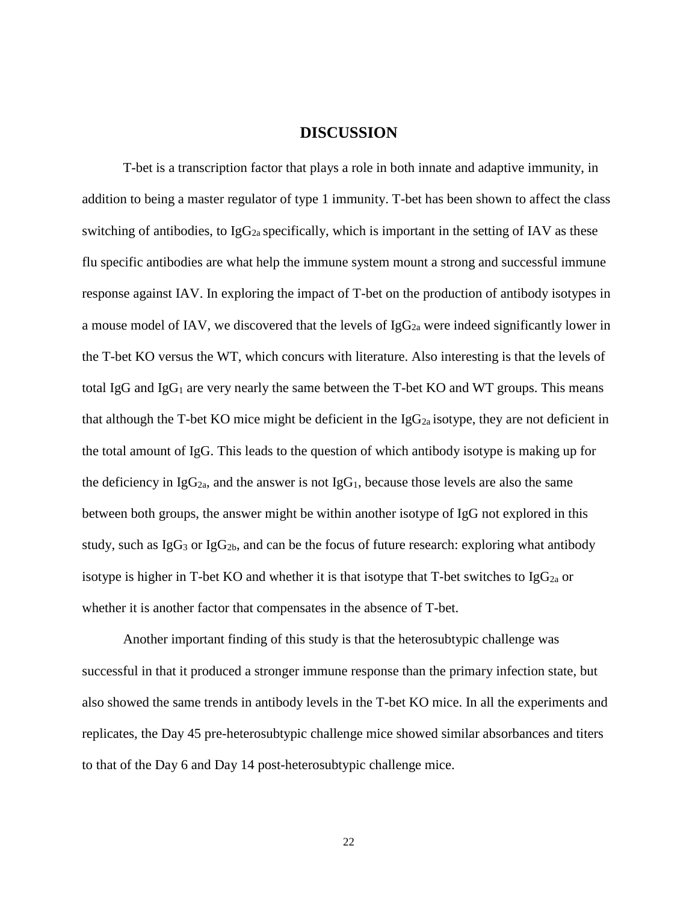# **DISCUSSION**

T-bet is a transcription factor that plays a role in both innate and adaptive immunity, in addition to being a master regulator of type 1 immunity. T-bet has been shown to affect the class switching of antibodies, to  $IgG_{2a}$  specifically, which is important in the setting of IAV as these flu specific antibodies are what help the immune system mount a strong and successful immune response against IAV. In exploring the impact of T-bet on the production of antibody isotypes in a mouse model of IAV, we discovered that the levels of  $IgG_{2a}$  were indeed significantly lower in the T-bet KO versus the WT, which concurs with literature. Also interesting is that the levels of total IgG and IgG<sub>1</sub> are very nearly the same between the T-bet KO and WT groups. This means that although the T-bet KO mice might be deficient in the  $IgG_{2a}$  isotype, they are not deficient in the total amount of IgG. This leads to the question of which antibody isotype is making up for the deficiency in  $I_{\alpha}G_{2a}$ , and the answer is not  $I_{\alpha}G_1$ , because those levels are also the same between both groups, the answer might be within another isotype of IgG not explored in this study, such as  $I_gG_3$  or  $I_gG_{2b}$ , and can be the focus of future research: exploring what antibody isotype is higher in T-bet KO and whether it is that isotype that T-bet switches to  $I_{\text{g}}G_{2a}$  or whether it is another factor that compensates in the absence of T-bet.

Another important finding of this study is that the heterosubtypic challenge was successful in that it produced a stronger immune response than the primary infection state, but also showed the same trends in antibody levels in the T-bet KO mice. In all the experiments and replicates, the Day 45 pre-heterosubtypic challenge mice showed similar absorbances and titers to that of the Day 6 and Day 14 post-heterosubtypic challenge mice.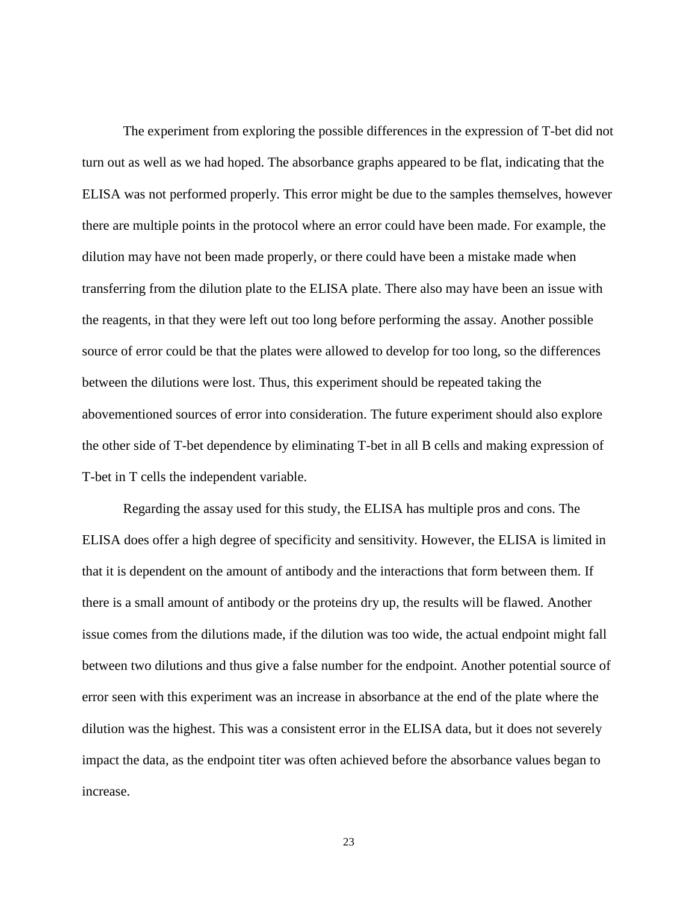The experiment from exploring the possible differences in the expression of T-bet did not turn out as well as we had hoped. The absorbance graphs appeared to be flat, indicating that the ELISA was not performed properly. This error might be due to the samples themselves, however there are multiple points in the protocol where an error could have been made. For example, the dilution may have not been made properly, or there could have been a mistake made when transferring from the dilution plate to the ELISA plate. There also may have been an issue with the reagents, in that they were left out too long before performing the assay. Another possible source of error could be that the plates were allowed to develop for too long, so the differences between the dilutions were lost. Thus, this experiment should be repeated taking the abovementioned sources of error into consideration. The future experiment should also explore the other side of T-bet dependence by eliminating T-bet in all B cells and making expression of T-bet in T cells the independent variable.

Regarding the assay used for this study, the ELISA has multiple pros and cons. The ELISA does offer a high degree of specificity and sensitivity. However, the ELISA is limited in that it is dependent on the amount of antibody and the interactions that form between them. If there is a small amount of antibody or the proteins dry up, the results will be flawed. Another issue comes from the dilutions made, if the dilution was too wide, the actual endpoint might fall between two dilutions and thus give a false number for the endpoint. Another potential source of error seen with this experiment was an increase in absorbance at the end of the plate where the dilution was the highest. This was a consistent error in the ELISA data, but it does not severely impact the data, as the endpoint titer was often achieved before the absorbance values began to increase.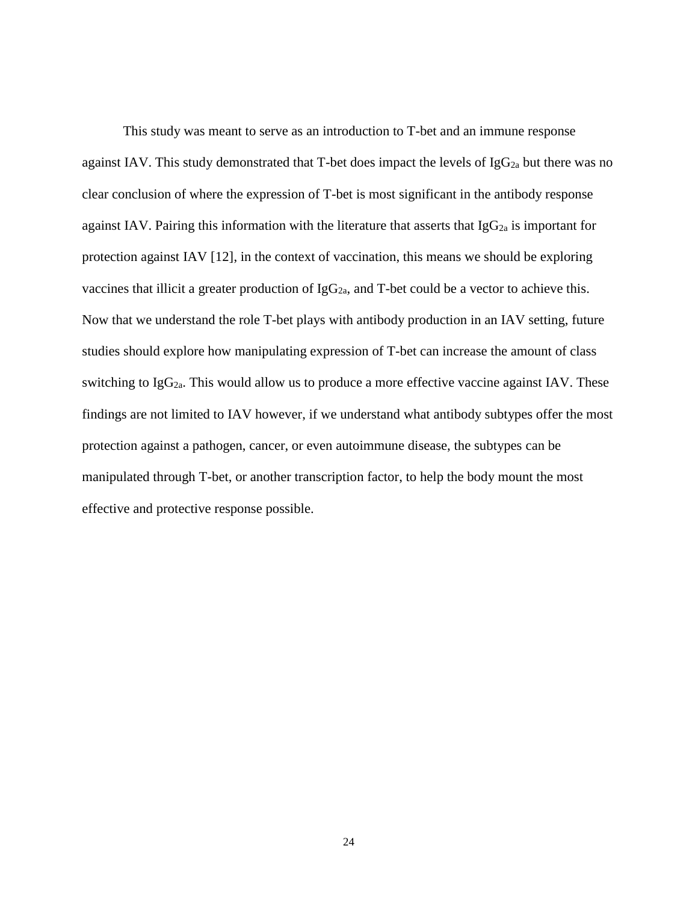This study was meant to serve as an introduction to T-bet and an immune response against IAV. This study demonstrated that T-bet does impact the levels of  $IgG_{2a}$  but there was no clear conclusion of where the expression of T-bet is most significant in the antibody response against IAV. Pairing this information with the literature that asserts that Ig $G_{2a}$  is important for protection against IAV [12], in the context of vaccination, this means we should be exploring vaccines that illicit a greater production of  $IgG_{2a}$ , and T-bet could be a vector to achieve this. Now that we understand the role T-bet plays with antibody production in an IAV setting, future studies should explore how manipulating expression of T-bet can increase the amount of class switching to  $I_{g}G_{2a}$ . This would allow us to produce a more effective vaccine against IAV. These findings are not limited to IAV however, if we understand what antibody subtypes offer the most protection against a pathogen, cancer, or even autoimmune disease, the subtypes can be manipulated through T-bet, or another transcription factor, to help the body mount the most effective and protective response possible.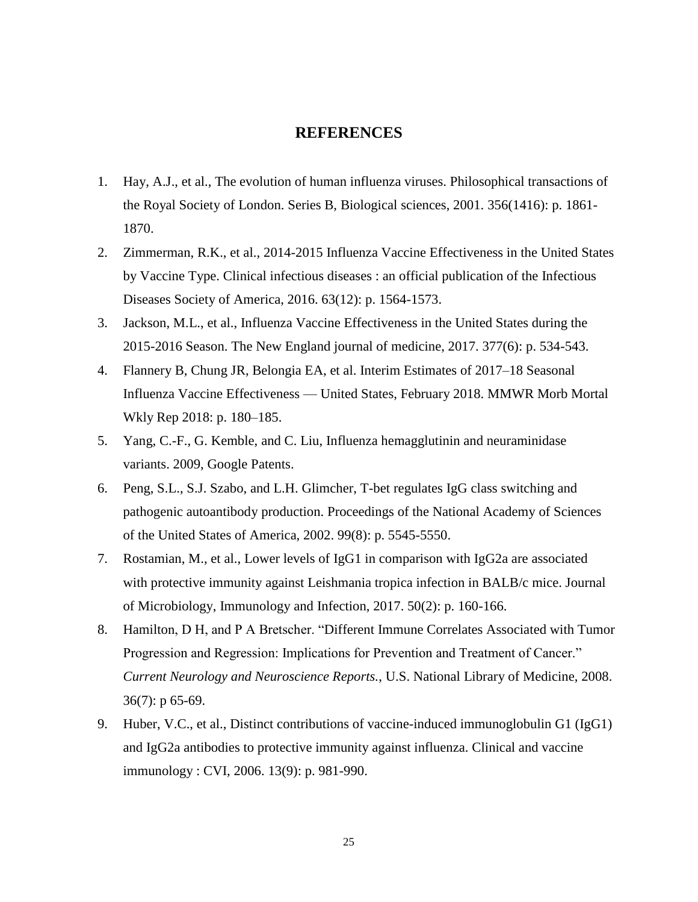# **REFERENCES**

- 1. Hay, A.J., et al., The evolution of human influenza viruses. Philosophical transactions of the Royal Society of London. Series B, Biological sciences, 2001. 356(1416): p. 1861- 1870.
- 2. Zimmerman, R.K., et al., 2014-2015 Influenza Vaccine Effectiveness in the United States by Vaccine Type. Clinical infectious diseases : an official publication of the Infectious Diseases Society of America, 2016. 63(12): p. 1564-1573.
- 3. Jackson, M.L., et al., Influenza Vaccine Effectiveness in the United States during the 2015-2016 Season. The New England journal of medicine, 2017. 377(6): p. 534-543.
- 4. Flannery B, Chung JR, Belongia EA, et al. Interim Estimates of 2017–18 Seasonal Influenza Vaccine Effectiveness — United States, February 2018. MMWR Morb Mortal Wkly Rep 2018: p. 180–185.
- 5. Yang, C.-F., G. Kemble, and C. Liu, Influenza hemagglutinin and neuraminidase variants. 2009, Google Patents.
- 6. Peng, S.L., S.J. Szabo, and L.H. Glimcher, T-bet regulates IgG class switching and pathogenic autoantibody production. Proceedings of the National Academy of Sciences of the United States of America, 2002. 99(8): p. 5545-5550.
- 7. Rostamian, M., et al., Lower levels of IgG1 in comparison with IgG2a are associated with protective immunity against Leishmania tropica infection in BALB/c mice. Journal of Microbiology, Immunology and Infection, 2017. 50(2): p. 160-166.
- 8. Hamilton, D H, and P A Bretscher. "Different Immune Correlates Associated with Tumor Progression and Regression: Implications for Prevention and Treatment of Cancer." *Current Neurology and Neuroscience Reports.*, U.S. National Library of Medicine, 2008. 36(7): p 65-69.
- 9. Huber, V.C., et al., Distinct contributions of vaccine-induced immunoglobulin G1 (IgG1) and IgG2a antibodies to protective immunity against influenza. Clinical and vaccine immunology : CVI, 2006. 13(9): p. 981-990.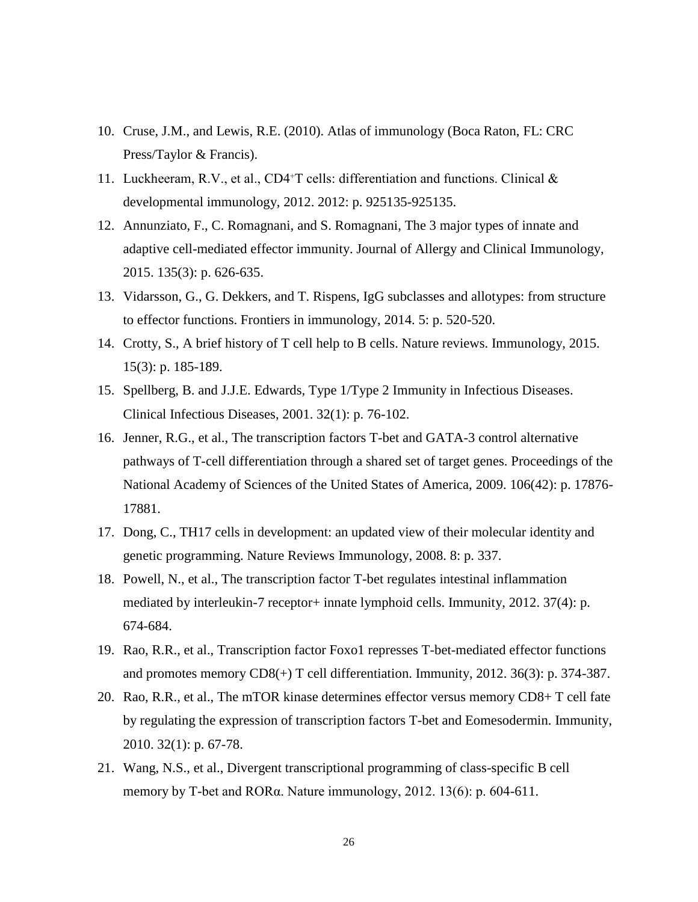- 10. Cruse, [J.M., and Lewis, R.E. \(2010\). Atlas of immunology \(Boca Raton, FL: CRC](http://books.google.co.uk/books/about/Atlas_of_Immunology_Third_Edition.html?id=kNI5Lk2z37sC&redir_esc=y)  [Press/Taylor & Francis\).](http://books.google.co.uk/books/about/Atlas_of_Immunology_Third_Edition.html?id=kNI5Lk2z37sC&redir_esc=y)
- 11. Luckheeram, R.V., et al., CD4+T cells: differentiation and functions. Clinical  $\&$ developmental immunology, 2012. 2012: p. 925135-925135.
- 12. Annunziato, F., C. Romagnani, and S. Romagnani, The 3 major types of innate and adaptive cell-mediated effector immunity. Journal of Allergy and Clinical Immunology, 2015. 135(3): p. 626-635.
- 13. Vidarsson, G., G. Dekkers, and T. Rispens, IgG subclasses and allotypes: from structure to effector functions. Frontiers in immunology, 2014. 5: p. 520-520.
- 14. Crotty, S., A brief history of T cell help to B cells. Nature reviews. Immunology, 2015. 15(3): p. 185-189.
- 15. Spellberg, B. and J.J.E. Edwards, Type 1/Type 2 Immunity in Infectious Diseases. Clinical Infectious Diseases, 2001. 32(1): p. 76-102.
- 16. Jenner, R.G., et al., The transcription factors T-bet and GATA-3 control alternative pathways of T-cell differentiation through a shared set of target genes. Proceedings of the National Academy of Sciences of the United States of America, 2009. 106(42): p. 17876- 17881.
- 17. Dong, C., TH17 cells in development: an updated view of their molecular identity and genetic programming. Nature Reviews Immunology, 2008. 8: p. 337.
- 18. Powell, N., et al., The transcription factor T-bet regulates intestinal inflammation mediated by interleukin-7 receptor+ innate lymphoid cells. Immunity, 2012. 37(4): p. 674-684.
- 19. Rao, R.R., et al., Transcription factor Foxo1 represses T-bet-mediated effector functions and promotes memory CD8(+) T cell differentiation. Immunity, 2012. 36(3): p. 374-387.
- 20. Rao, R.R., et al., The mTOR kinase determines effector versus memory CD8+ T cell fate by regulating the expression of transcription factors T-bet and Eomesodermin. Immunity, 2010. 32(1): p. 67-78.
- 21. Wang, N.S., et al., Divergent transcriptional programming of class-specific B cell memory by T-bet and RORα. Nature immunology, 2012. 13(6): p. 604-611.